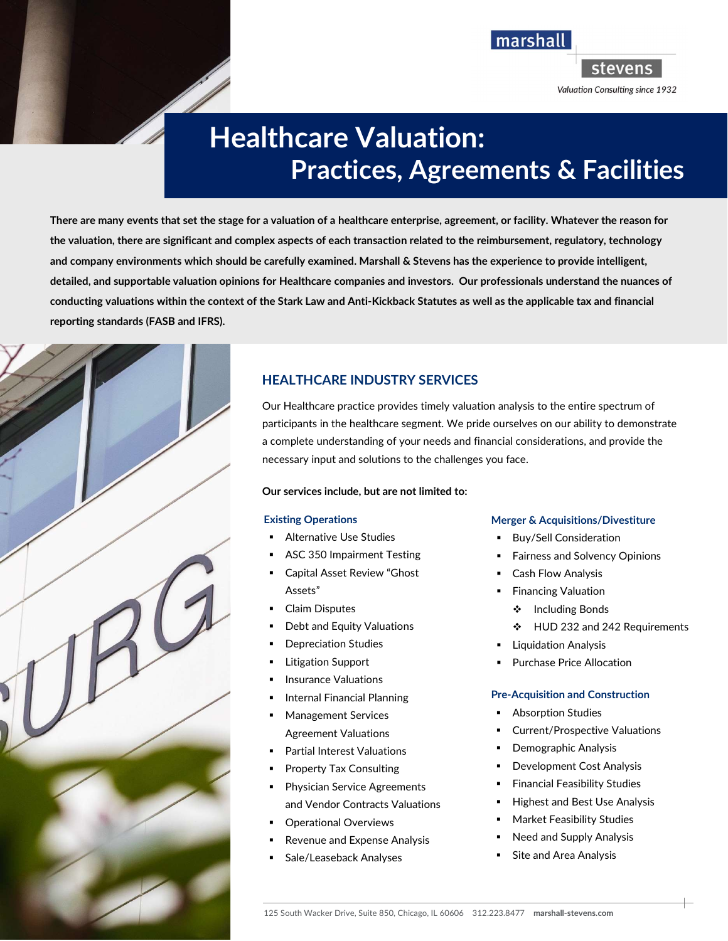Valuation Consulting since 1932

**stevens** 

marshall

# Healthcare Valuation: Practices, Agreements & Facilities

There are many events that set the stage for a valuation of a healthcare enterprise, agreement, or facility. Whatever the reason for the valuation, there are significant and complex aspects of each transaction related to the reimbursement, regulatory, technology and company environments which should be carefully examined. Marshall & Stevens has the experience to provide intelligent, detailed, and supportable valuation opinions for Healthcare companies and investors. Our professionals understand the nuances of conducting valuations within the context of the Stark Law and Anti-Kickback Statutes as well as the applicable tax and financial reporting standards (FASB and IFRS).



## HEALTHCARE INDUSTRY SERVICES

Our Healthcare practice provides timely valuation analysis to the entire spectrum of participants in the healthcare segment. We pride ourselves on our ability to demonstrate a complete understanding of your needs and financial considerations, and provide the necessary input and solutions to the challenges you face.

## Our services include, but are not limited to:

## Existing Operations

- Alternative Use Studies
- ASC 350 Impairment Testing
- Capital Asset Review "Ghost Assets"
- Claim Disputes
- Debt and Equity Valuations
- Depreciation Studies
- Litigation Support
- Insurance Valuations
- Internal Financial Planning
- Management Services Agreement Valuations
- Partial Interest Valuations
- Property Tax Consulting
- Physician Service Agreements and Vendor Contracts Valuations
- Operational Overviews
- Revenue and Expense Analysis
- Sale/Leaseback Analyses

## Merger & Acquisitions/Divestiture

- **Buy/Sell Consideration**
- Fairness and Solvency Opinions
- Cash Flow Analysis
- **Financing Valuation** 
	- ❖ Including Bonds
	- HUD 232 and 242 Requirements
- **Liquidation Analysis**
- Purchase Price Allocation

## Pre-Acquisition and Construction

- Absorption Studies
- Current/Prospective Valuations
- **•** Demographic Analysis
- Development Cost Analysis
- Financial Feasibility Studies
- Highest and Best Use Analysis
- Market Feasibility Studies
- Need and Supply Analysis
- Site and Area Analysis